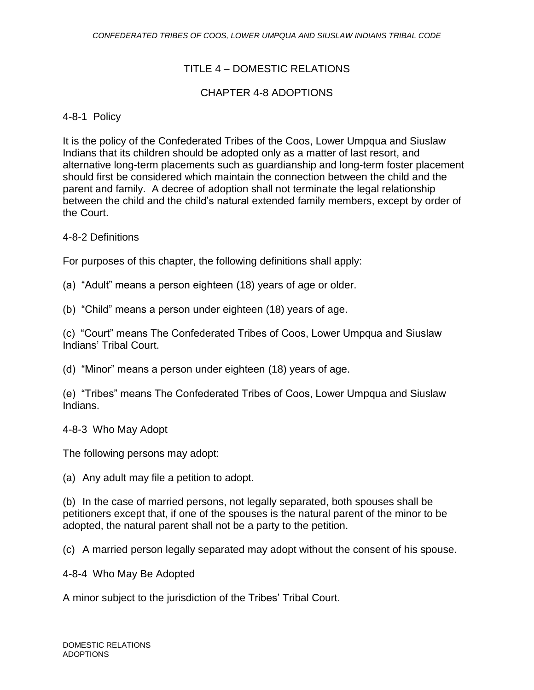## TITLE 4 – DOMESTIC RELATIONS

## CHAPTER 4-8 ADOPTIONS

#### 4-8-1 Policy

It is the policy of the Confederated Tribes of the Coos, Lower Umpqua and Siuslaw Indians that its children should be adopted only as a matter of last resort, and alternative long-term placements such as guardianship and long-term foster placement should first be considered which maintain the connection between the child and the parent and family. A decree of adoption shall not terminate the legal relationship between the child and the child's natural extended family members, except by order of the Court.

#### 4-8-2 Definitions

For purposes of this chapter, the following definitions shall apply:

(a) "Adult" means a person eighteen (18) years of age or older.

(b) "Child" means a person under eighteen (18) years of age.

(c) "Court" means The Confederated Tribes of Coos, Lower Umpqua and Siuslaw Indians' Tribal Court.

(d) "Minor" means a person under eighteen (18) years of age.

(e) "Tribes" means The Confederated Tribes of Coos, Lower Umpqua and Siuslaw Indians.

4-8-3 Who May Adopt

The following persons may adopt:

(a) Any adult may file a petition to adopt.

(b) In the case of married persons, not legally separated, both spouses shall be petitioners except that, if one of the spouses is the natural parent of the minor to be adopted, the natural parent shall not be a party to the petition.

(c) A married person legally separated may adopt without the consent of his spouse.

4-8-4 Who May Be Adopted

A minor subject to the jurisdiction of the Tribes' Tribal Court.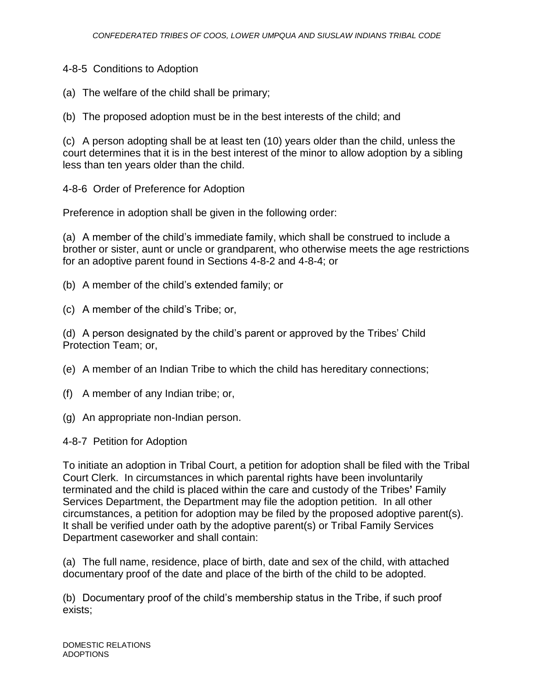4-8-5 Conditions to Adoption

(a) The welfare of the child shall be primary;

(b) The proposed adoption must be in the best interests of the child; and

(c) A person adopting shall be at least ten (10) years older than the child, unless the court determines that it is in the best interest of the minor to allow adoption by a sibling less than ten years older than the child.

4-8-6 Order of Preference for Adoption

Preference in adoption shall be given in the following order:

(a) A member of the child's immediate family, which shall be construed to include a brother or sister, aunt or uncle or grandparent, who otherwise meets the age restrictions for an adoptive parent found in Sections 4-8-2 and 4-8-4; or

- (b) A member of the child's extended family; or
- (c) A member of the child's Tribe; or,

(d) A person designated by the child's parent or approved by the Tribes' Child Protection Team; or,

- (e) A member of an Indian Tribe to which the child has hereditary connections;
- (f) A member of any Indian tribe; or,
- (g) An appropriate non-Indian person.

4-8-7 Petition for Adoption

To initiate an adoption in Tribal Court, a petition for adoption shall be filed with the Tribal Court Clerk. In circumstances in which parental rights have been involuntarily terminated and the child is placed within the care and custody of the Tribes**'** Family Services Department, the Department may file the adoption petition. In all other circumstances, a petition for adoption may be filed by the proposed adoptive parent(s). It shall be verified under oath by the adoptive parent(s) or Tribal Family Services Department caseworker and shall contain:

(a) The full name, residence, place of birth, date and sex of the child, with attached documentary proof of the date and place of the birth of the child to be adopted.

(b) Documentary proof of the child's membership status in the Tribe, if such proof exists;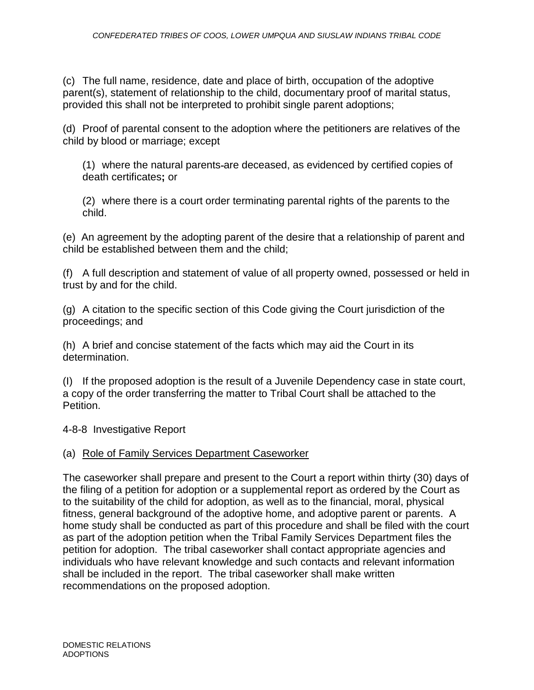(c) The full name, residence, date and place of birth, occupation of the adoptive parent(s), statement of relationship to the child, documentary proof of marital status, provided this shall not be interpreted to prohibit single parent adoptions;

(d) Proof of parental consent to the adoption where the petitioners are relatives of the child by blood or marriage; except

(1) where the natural parents are deceased, as evidenced by certified copies of death certificates**;** or

(2) where there is a court order terminating parental rights of the parents to the child.

(e) An agreement by the adopting parent of the desire that a relationship of parent and child be established between them and the child;

(f) A full description and statement of value of all property owned, possessed or held in trust by and for the child.

(g) A citation to the specific section of this Code giving the Court jurisdiction of the proceedings; and

(h) A brief and concise statement of the facts which may aid the Court in its determination.

(I) If the proposed adoption is the result of a Juvenile Dependency case in state court, a copy of the order transferring the matter to Tribal Court shall be attached to the Petition.

4-8-8 Investigative Report

## (a) Role of Family Services Department Caseworker

The caseworker shall prepare and present to the Court a report within thirty (30) days of the filing of a petition for adoption or a supplemental report as ordered by the Court as to the suitability of the child for adoption, as well as to the financial, moral, physical fitness, general background of the adoptive home, and adoptive parent or parents. A home study shall be conducted as part of this procedure and shall be filed with the court as part of the adoption petition when the Tribal Family Services Department files the petition for adoption. The tribal caseworker shall contact appropriate agencies and individuals who have relevant knowledge and such contacts and relevant information shall be included in the report. The tribal caseworker shall make written recommendations on the proposed adoption.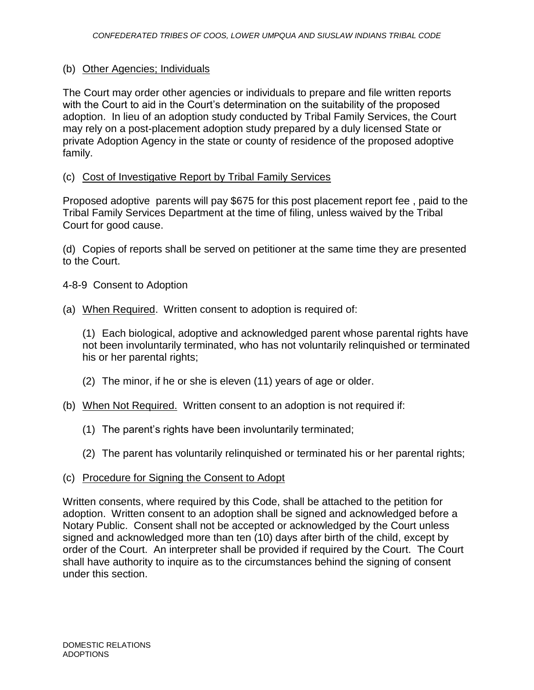## (b) Other Agencies; Individuals

The Court may order other agencies or individuals to prepare and file written reports with the Court to aid in the Court's determination on the suitability of the proposed adoption. In lieu of an adoption study conducted by Tribal Family Services, the Court may rely on a post-placement adoption study prepared by a duly licensed State or private Adoption Agency in the state or county of residence of the proposed adoptive family.

## (c) Cost of Investigative Report by Tribal Family Services

Proposed adoptive parents will pay \$675 for this post placement report fee , paid to the Tribal Family Services Department at the time of filing, unless waived by the Tribal Court for good cause.

(d) Copies of reports shall be served on petitioner at the same time they are presented to the Court.

- 4-8-9 Consent to Adoption
- (a) When Required. Written consent to adoption is required of:

(1) Each biological, adoptive and acknowledged parent whose parental rights have not been involuntarily terminated, who has not voluntarily relinquished or terminated his or her parental rights;

- (2) The minor, if he or she is eleven (11) years of age or older.
- (b) When Not Required. Written consent to an adoption is not required if:
	- (1) The parent's rights have been involuntarily terminated;
	- (2) The parent has voluntarily relinquished or terminated his or her parental rights;
- (c) Procedure for Signing the Consent to Adopt

Written consents, where required by this Code, shall be attached to the petition for adoption. Written consent to an adoption shall be signed and acknowledged before a Notary Public. Consent shall not be accepted or acknowledged by the Court unless signed and acknowledged more than ten (10) days after birth of the child, except by order of the Court. An interpreter shall be provided if required by the Court. The Court shall have authority to inquire as to the circumstances behind the signing of consent under this section.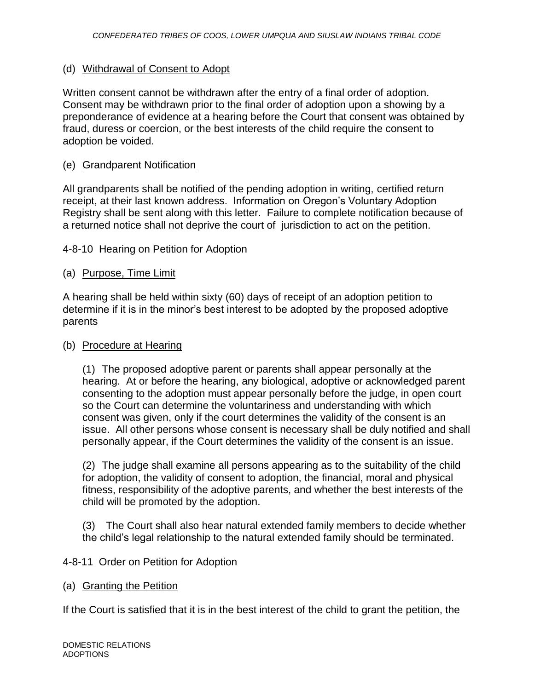## (d) Withdrawal of Consent to Adopt

Written consent cannot be withdrawn after the entry of a final order of adoption. Consent may be withdrawn prior to the final order of adoption upon a showing by a preponderance of evidence at a hearing before the Court that consent was obtained by fraud, duress or coercion, or the best interests of the child require the consent to adoption be voided.

## (e) Grandparent Notification

All grandparents shall be notified of the pending adoption in writing, certified return receipt, at their last known address. Information on Oregon's Voluntary Adoption Registry shall be sent along with this letter. Failure to complete notification because of a returned notice shall not deprive the court of jurisdiction to act on the petition.

4-8-10 Hearing on Petition for Adoption

## (a) Purpose, Time Limit

A hearing shall be held within sixty (60) days of receipt of an adoption petition to determine if it is in the minor's best interest to be adopted by the proposed adoptive parents

## (b) Procedure at Hearing

(1) The proposed adoptive parent or parents shall appear personally at the hearing. At or before the hearing, any biological, adoptive or acknowledged parent consenting to the adoption must appear personally before the judge, in open court so the Court can determine the voluntariness and understanding with which consent was given, only if the court determines the validity of the consent is an issue. All other persons whose consent is necessary shall be duly notified and shall personally appear, if the Court determines the validity of the consent is an issue.

(2) The judge shall examine all persons appearing as to the suitability of the child for adoption, the validity of consent to adoption, the financial, moral and physical fitness, responsibility of the adoptive parents, and whether the best interests of the child will be promoted by the adoption.

(3) The Court shall also hear natural extended family members to decide whether the child's legal relationship to the natural extended family should be terminated.

## 4-8-11 Order on Petition for Adoption

(a) Granting the Petition

If the Court is satisfied that it is in the best interest of the child to grant the petition, the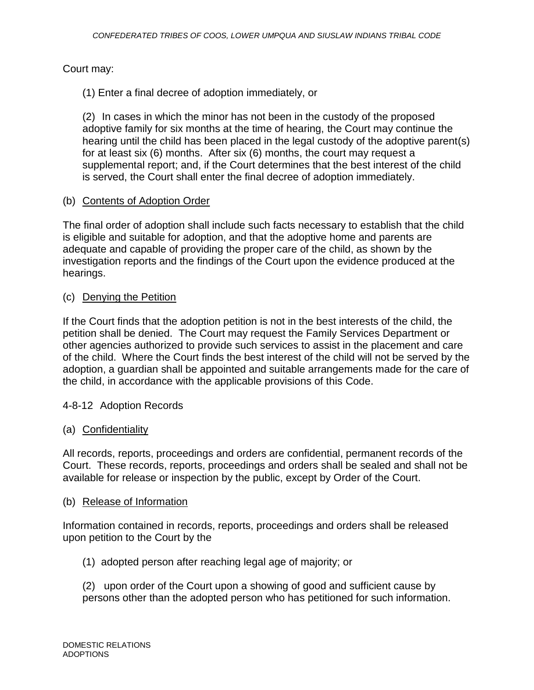Court may:

(1) Enter a final decree of adoption immediately, or

(2) In cases in which the minor has not been in the custody of the proposed adoptive family for six months at the time of hearing, the Court may continue the hearing until the child has been placed in the legal custody of the adoptive parent(s) for at least six (6) months. After six (6) months, the court may request a supplemental report; and, if the Court determines that the best interest of the child is served, the Court shall enter the final decree of adoption immediately.

## (b) Contents of Adoption Order

The final order of adoption shall include such facts necessary to establish that the child is eligible and suitable for adoption, and that the adoptive home and parents are adequate and capable of providing the proper care of the child, as shown by the investigation reports and the findings of the Court upon the evidence produced at the hearings.

## (c) Denying the Petition

If the Court finds that the adoption petition is not in the best interests of the child, the petition shall be denied. The Court may request the Family Services Department or other agencies authorized to provide such services to assist in the placement and care of the child. Where the Court finds the best interest of the child will not be served by the adoption, a guardian shall be appointed and suitable arrangements made for the care of the child, in accordance with the applicable provisions of this Code.

4-8-12 Adoption Records

## (a) Confidentiality

All records, reports, proceedings and orders are confidential, permanent records of the Court. These records, reports, proceedings and orders shall be sealed and shall not be available for release or inspection by the public, except by Order of the Court.

## (b) Release of Information

Information contained in records, reports, proceedings and orders shall be released upon petition to the Court by the

(1) adopted person after reaching legal age of majority; or

(2) upon order of the Court upon a showing of good and sufficient cause by persons other than the adopted person who has petitioned for such information.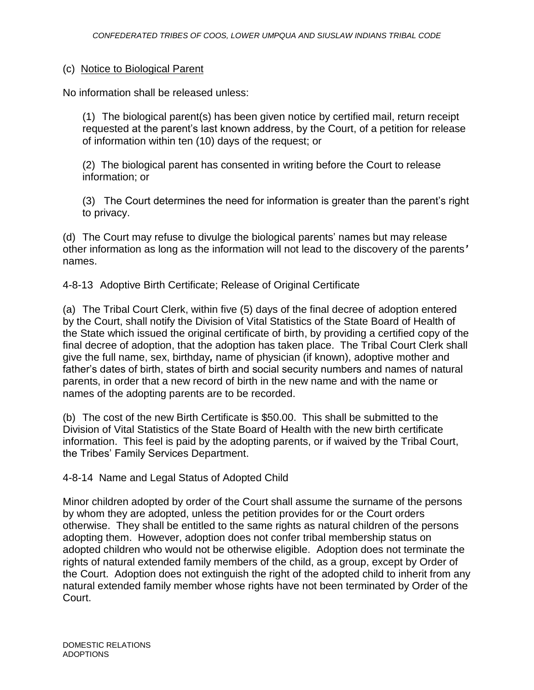#### (c) Notice to Biological Parent

No information shall be released unless:

(1) The biological parent(s) has been given notice by certified mail, return receipt requested at the parent's last known address, by the Court, of a petition for release of information within ten (10) days of the request; or

(2) The biological parent has consented in writing before the Court to release information; or

(3) The Court determines the need for information is greater than the parent's right to privacy.

(d) The Court may refuse to divulge the biological parents' names but may release other information as long as the information will not lead to the discovery of the parents*'* names.

4-8-13 Adoptive Birth Certificate; Release of Original Certificate

(a) The Tribal Court Clerk, within five (5) days of the final decree of adoption entered by the Court, shall notify the Division of Vital Statistics of the State Board of Health of the State which issued the original certificate of birth, by providing a certified copy of the final decree of adoption, that the adoption has taken place. The Tribal Court Clerk shall give the full name, sex, birthday*,* name of physician (if known), adoptive mother and father's dates of birth, states of birth and social security numbers and names of natural parents, in order that a new record of birth in the new name and with the name or names of the adopting parents are to be recorded.

(b) The cost of the new Birth Certificate is \$50.00. This shall be submitted to the Division of Vital Statistics of the State Board of Health with the new birth certificate information. This feel is paid by the adopting parents, or if waived by the Tribal Court, the Tribes' Family Services Department.

4-8-14 Name and Legal Status of Adopted Child

Minor children adopted by order of the Court shall assume the surname of the persons by whom they are adopted, unless the petition provides for or the Court orders otherwise. They shall be entitled to the same rights as natural children of the persons adopting them. However, adoption does not confer tribal membership status on adopted children who would not be otherwise eligible. Adoption does not terminate the rights of natural extended family members of the child, as a group, except by Order of the Court. Adoption does not extinguish the right of the adopted child to inherit from any natural extended family member whose rights have not been terminated by Order of the Court.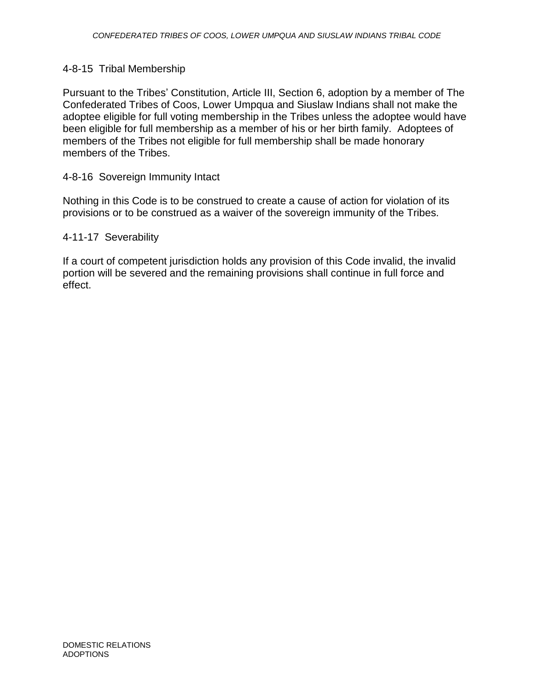#### 4-8-15 Tribal Membership

Pursuant to the Tribes' Constitution, Article III, Section 6, adoption by a member of The Confederated Tribes of Coos, Lower Umpqua and Siuslaw Indians shall not make the adoptee eligible for full voting membership in the Tribes unless the adoptee would have been eligible for full membership as a member of his or her birth family. Adoptees of members of the Tribes not eligible for full membership shall be made honorary members of the Tribes.

#### 4-8-16 Sovereign Immunity Intact

Nothing in this Code is to be construed to create a cause of action for violation of its provisions or to be construed as a waiver of the sovereign immunity of the Tribes.

#### 4-11-17 Severability

If a court of competent jurisdiction holds any provision of this Code invalid, the invalid portion will be severed and the remaining provisions shall continue in full force and effect.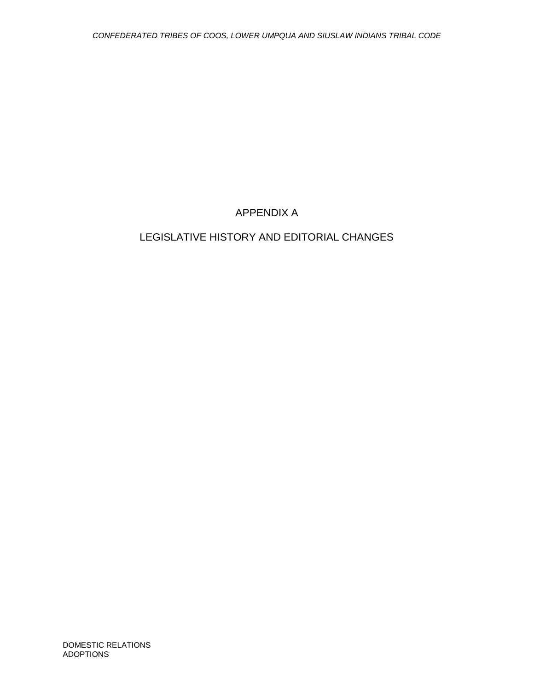# APPENDIX A

# LEGISLATIVE HISTORY AND EDITORIAL CHANGES